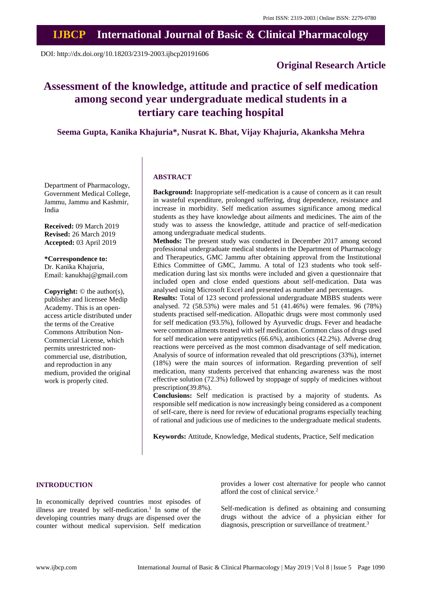# **IJBCP International Journal of Basic & Clinical Pharmacology**

DOI: http://dx.doi.org/10.18203/2319-2003.ijbcp20191606

## **Original Research Article**

## **Assessment of the knowledge, attitude and practice of self medication among second year undergraduate medical students in a tertiary care teaching hospital**

### **Seema Gupta, Kanika Khajuria\*, Nusrat K. Bhat, Vijay Khajuria, Akanksha Mehra**

Department of Pharmacology, Government Medical College, Jammu, Jammu and Kashmir, India

**Received:** 09 March 2019 **Revised:** 26 March 2019 **Accepted:** 03 April 2019

**\*Correspondence to:** Dr. Kanika Khajuria, Email: kanukhaj@gmail.com

**Copyright:** © the author(s), publisher and licensee Medip Academy. This is an openaccess article distributed under the terms of the Creative Commons Attribution Non-Commercial License, which permits unrestricted noncommercial use, distribution, and reproduction in any medium, provided the original work is properly cited.

#### **ABSTRACT**

**Background:** Inappropriate self-medication is a cause of concern as it can result in wasteful expenditure, prolonged suffering, drug dependence, resistance and increase in morbidity. Self medication assumes significance among medical students as they have knowledge about ailments and medicines. The aim of the study was to assess the knowledge, attitude and practice of self-medication among undergraduate medical students.

**Methods:** The present study was conducted in December 2017 among second professional undergraduate medical students in the Department of Pharmacology and Therapeutics, GMC Jammu after obtaining approval from the Institutional Ethics Committee of GMC, Jammu. A total of 123 students who took selfmedication during last six months were included and given a questionnaire that included open and close ended questions about self-medication. Data was analysed using Microsoft Excel and presented as number and percentages.

**Results:** Total of 123 second professional undergraduate MBBS students were analysed. 72 (58.53%) were males and 51 (41.46%) were females. 96 (78%) students practised self-medication. Allopathic drugs were most commonly used for self medication (93.5%), followed by Ayurvedic drugs. Fever and headache were common ailments treated with self medication. Common class of drugs used for self medication were antipyretics (66.6%), antibiotics (42.2%). Adverse drug reactions were perceived as the most common disadvantage of self medication. Analysis of source of information revealed that old prescriptions (33%), internet (18%) were the main sources of information. Regarding prevention of self medication, many students perceived that enhancing awareness was the most effective solution (72.3%) followed by stoppage of supply of medicines without prescription(39.8%).

**Conclusions:** Self medication is practised by a majority of students. As responsible self medication is now increasingly being considered as a component of self-care, there is need for review of educational programs especially teaching of rational and judicious use of medicines to the undergraduate medical students.

**Keywords:** Attitude, Knowledge, Medical students, Practice, Self medication

#### **INTRODUCTION**

In economically deprived countries most episodes of illness are treated by self-medication.<sup>1</sup> In some of the developing countries many drugs are dispensed over the counter without medical supervision. Self medication provides a lower cost alternative for people who cannot afford the cost of clinical service.<sup>2</sup>

Self-medication is defined as obtaining and consuming drugs without the advice of a physician either for diagnosis, prescription or surveillance of treatment.<sup>3</sup>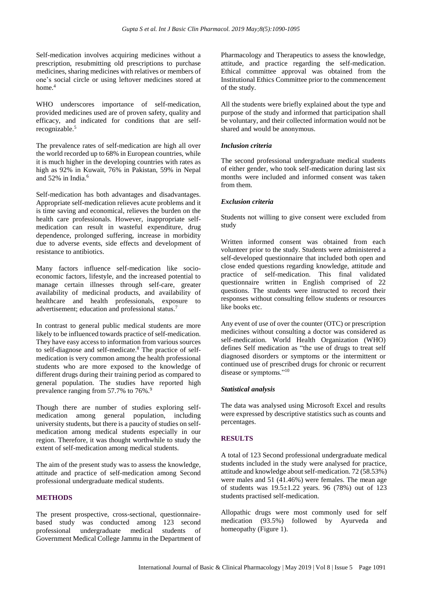Self-medication involves acquiring medicines without a prescription, resubmitting old prescriptions to purchase medicines, sharing medicines with relatives or members of one's social circle or using leftover medicines stored at home.<sup>4</sup>

WHO underscores importance of self-medication, provided medicines used are of proven safety, quality and efficacy, and indicated for conditions that are selfrecognizable.<sup>5</sup>

The prevalence rates of self-medication are high all over the world recorded up to 68% in European countries, while it is much higher in the developing countries with rates as high as 92% in Kuwait, 76% in Pakistan, 59% in Nepal and 52% in India.<sup>6</sup>

Self-medication has both advantages and disadvantages. Appropriate self-medication relieves acute problems and it is time saving and economical, relieves the burden on the health care professionals. However, inappropriate selfmedication can result in wasteful expenditure, drug dependence, prolonged suffering, increase in morbidity due to adverse events, side effects and development of resistance to antibiotics.

Many factors influence self-medication like socioeconomic factors, lifestyle, and the increased potential to manage certain illnesses through self-care, greater availability of medicinal products, and availability of healthcare and health professionals, exposure to advertisement; education and professional status.<sup>7</sup>

In contrast to general public medical students are more likely to be influenced towards practice of self-medication. They have easy access to information from various sources to self-diagnose and self-medicate.<sup>8</sup> The practice of selfmedication is very common among the health professional students who are more exposed to the knowledge of different drugs during their training period as compared to general population. The studies have reported high prevalence ranging from 57.7% to 76%.<sup>9</sup>

Though there are number of studies exploring selfmedication among general population, including university students, but there is a paucity of studies on selfmedication among medical students especially in our region. Therefore, it was thought worthwhile to study the extent of self-medication among medical students.

The aim of the present study was to assess the knowledge, attitude and practice of self-medication among Second professional undergraduate medical students.

#### **METHODS**

The present prospective, cross-sectional, questionnairebased study was conducted among 123 second professional undergraduate medical students of Government Medical College Jammu in the Department of Pharmacology and Therapeutics to assess the knowledge, attitude, and practice regarding the self-medication. Ethical committee approval was obtained from the Institutional Ethics Committee prior to the commencement of the study.

All the students were briefly explained about the type and purpose of the study and informed that participation shall be voluntary, and their collected information would not be shared and would be anonymous.

#### *Inclusion criteria*

The second professional undergraduate medical students of either gender, who took self-medication during last six months were included and informed consent was taken from them.

#### *Exclusion criteria*

Students not willing to give consent were excluded from study

Written informed consent was obtained from each volunteer prior to the study. Students were administered a self-developed questionnaire that included both open and close ended questions regarding knowledge, attitude and practice of self-medication. This final validated questionnaire written in English comprised of 22 questions. The students were instructed to record their responses without consulting fellow students or resources like books etc.

Any event of use of over the counter (OTC) or prescription medicines without consulting a doctor was considered as self-medication. World Health Organization (WHO) defines Self medication as "the use of drugs to treat self diagnosed disorders or symptoms or the intermittent or continued use of prescribed drugs for chronic or recurrent disease or symptoms."<sup>10</sup>

#### *Statistical analysis*

The data was analysed using Microsoft Excel and results were expressed by descriptive statistics such as counts and percentages.

#### **RESULTS**

A total of 123 Second professional undergraduate medical students included in the study were analysed for practice, attitude and knowledge aboutself-medication. 72 (58.53%) were males and 51 (41.46%) were females. The mean age of students was 19.5±1.22 years. 96 (78%) out of 123 students practised self-medication.

Allopathic drugs were most commonly used for self medication (93.5%) followed by Ayurveda and homeopathy (Figure 1).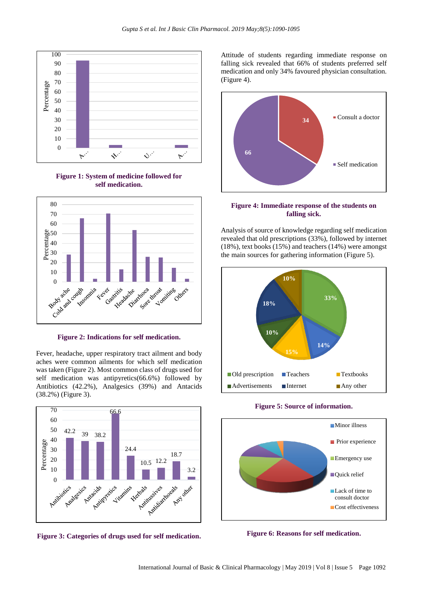

**Figure 1: System of medicine followed for self medication.**



**Figure 2: Indications for self medication.**

Fever, headache, upper respiratory tract ailment and body aches were common ailments for which self medication was taken (Figure 2). Most common class of drugs used for self medication was antipyretics(66.6%) followed by Antibiotics (42.2%), Analgesics (39%) and Antacids (38.2%) (Figure 3).



**Figure 3: Categories of drugs used for self medication.**

Attitude of students regarding immediate response on falling sick revealed that 66% of students preferred self medication and only 34% favoured physician consultation. (Figure 4).



**Figure 4: Immediate response of the students on falling sick.**

Analysis of source of knowledge regarding self medication revealed that old prescriptions (33%), followed by internet (18%), text books (15%) and teachers (14%) were amongst the main sources for gathering information (Figure 5).



#### **Figure 5: Source of information.**



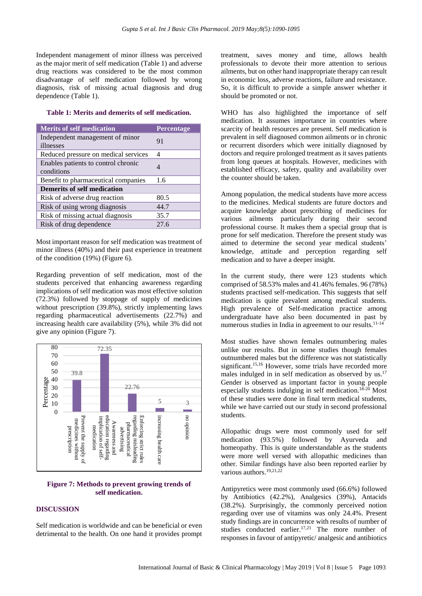Independent management of minor illness was perceived as the major merit of self medication (Table 1) and adverse drug reactions was considered to be the most common disadvantage of self medication followed by wrong diagnosis, risk of missing actual diagnosis and drug dependence (Table 1).

#### **Table 1: Merits and demerits of self medication.**

| <b>Merits of self medication</b>                  | Percentage |
|---------------------------------------------------|------------|
| Independent management of minor<br>illnesses      | 91         |
| Reduced pressure on medical services              | 4          |
| Enables patients to control chronic<br>conditions |            |
| Benefit to pharmaceutical companies               | 1.6        |
| <b>Demerits of self medication</b>                |            |
| Risk of adverse drug reaction                     | 80.5       |
| Risk of using wrong diagnosis                     | 44.7       |
| Risk of missing actual diagnosis                  | 35.7       |
| Risk of drug dependence                           | 27.6       |

Most important reason for self medication was treatment of minor illness (40%) and their past experience in treatment of the condition (19%) (Figure 6).

Regarding prevention of self medication, most of the students perceived that enhancing awareness regarding implications of self medication was most effective solution (72.3%) followed by stoppage of supply of medicines without prescription (39.8%), strictly implementing laws regarding pharmaceutical advertisements (22.7%) and increasing health care availability (5%), while 3% did not give any opinion (Figure 7).



#### **Figure 7: Methods to prevent growing trends of self medication.**

#### **DISCUSSION**

Self medication is worldwide and can be beneficial or even detrimental to the health. On one hand it provides prompt treatment, saves money and time, allows health professionals to devote their more attention to serious ailments, but on other hand inappropriate therapy can result in economic loss, adverse reactions, failure and resistance. So, it is difficult to provide a simple answer whether it should be promoted or not.

WHO has also highlighted the importance of self medication. It assumes importance in countries where scarcity of health resources are present. Self medication is prevalent in self diagnosed common ailments or in chronic or recurrent disorders which were initially diagnosed by doctors and require prolonged treatment as it saves patients from long queues at hospitals. However, medicines with established efficacy, safety, quality and availability over the counter should be taken.

Among population, the medical students have more access to the medicines. Medical students are future doctors and acquire knowledge about prescribing of medicines for various ailments particularly during their second professional course. It makes them a special group that is prone for self medication. Therefore the present study was aimed to determine the second year medical students' knowledge, attitude and perception regarding self medication and to have a deeper insight.

In the current study, there were 123 students which comprised of 58.53% males and 41.46% females. 96 (78%) students practised self-medication. This suggests that self medication is quite prevalent among medical students. High prevalence of Self-medication practice among undergraduate have also been documented in past by numerous studies in India in agreement to our results.11-14

Most studies have shown females outnumbering males unlike our results. But in some studies though females outnumbered males but the difference was not statistically significant.<sup>15,16</sup> However, some trials have recorded more males indulged in in self medication as observed by us.<sup>17</sup> Gender is observed as important factor in young people especially students indulging in self medication.<sup>18-20</sup> Most of these studies were done in final term medical students, while we have carried out our study in second professional students.

Allopathic drugs were most commonly used for self medication (93.5%) followed by Ayurveda and homeopathy. This is quite understandable as the students were more well versed with allopathic medicines than other. Similar findings have also been reported earlier by various authors.<sup>19,21,22</sup>

Antipyretics were most commonly used (66.6%) followed by Antibiotics (42.2%), Analgesics (39%), Antacids (38.2%). Surprisingly, the commonly perceived notion regarding over use of vitamins was only 24.4%. Present study findings are in concurrence with results of number of studies conducted earlier.<sup>17,21</sup> The more number of responses in favour of antipyretic/ analgesic and antibiotics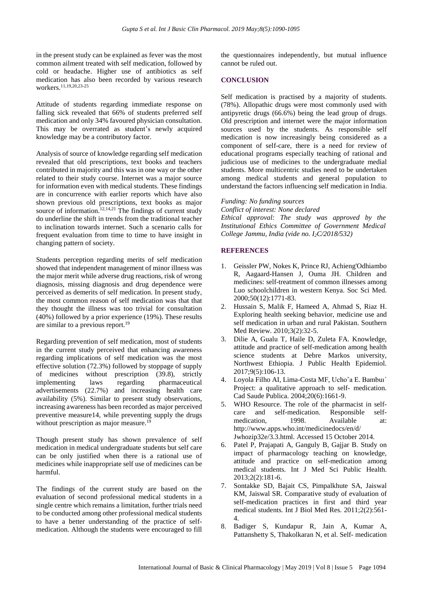in the present study can be explained as fever was the most common ailment treated with self medication, followed by cold or headache. Higher use of antibiotics as self medication has also been recorded by various research workers.11,19,20,23-25

Attitude of students regarding immediate response on falling sick revealed that 66% of students preferred self medication and only 34% favoured physician consultation. This may be overrated as student's newly acquired knowledge may be a contributory factor.

Analysis of source of knowledge regarding self medication revealed that old prescriptions, text books and teachers contributed in majority and this was in one way or the other related to their study course. Internet was a major source for information even with medical students. These findings are in concurrence with earlier reports which have also shown previous old prescriptions, text books as major source of information.<sup>12,14,21</sup> The findings of current study do underline the shift in trends from the traditional teacher to inclination towards internet. Such a scenario calls for frequent evaluation from time to time to have insight in changing pattern of society.

Students perception regarding merits of self medication showed that independent management of minor illness was the major merit while adverse drug reactions, risk of wrong diagnosis, missing diagnosis and drug dependence were perceived as demerits of self medication. In present study, the most common reason of self medication was that that they thought the illness was too trivial for consultation (40%) followed by a prior experience (19%). These results are similar to a previous report.<sup>19</sup>

Regarding prevention of self medication, most of students in the current study perceived that enhancing awareness regarding implications of self medication was the most effective solution (72.3%) followed by stoppage of supply of medicines without prescription (39.8), strictly implementing laws regarding pharmaceutical advertisements (22.7%) and increasing health care availability (5%). Similar to present study observations, increasing awareness has been recorded as major perceived preventive measure14, while preventing supply the drugs without prescription as major measure.<sup>19</sup>

Though present study has shown prevalence of self medication in medical undergraduate students but self care can be only justified when there is a rational use of medicines while inappropriate self use of medicines can be harmful.

The findings of the current study are based on the evaluation of second professional medical students in a single centre which remains a limitation, further trials need to be conducted among other professional medical students to have a better understanding of the practice of selfmedication. Although the students were encouraged to fill

the questionnaires independently, but mutual influence cannot be ruled out.

#### **CONCLUSION**

Self medication is practised by a majority of students. (78%). Allopathic drugs were most commonly used with antipyretic drugs (66.6%) being the lead group of drugs. Old prescription and internet were the major information sources used by the students. As responsible self medication is now increasingly being considered as a component of self-care, there is a need for review of educational programs especially teaching of rational and judicious use of medicines to the undergraduate medial students. More multicentric studies need to be undertaken among medical students and general population to understand the factors influencing self medication in India.

*Funding: No funding sources Conflict of interest: None declared Ethical approval: The study was approved by the Institutional Ethics Committee of Government Medical College Jammu, India (vide no. I2C/2018/532)*

#### **REFERENCES**

- 1. Geissler PW, Nokes K, Prince RJ, Achieng'Odhiambo R, Aagaard-Hansen J, Ouma JH. Children and medicines: self-treatment of common illnesses among Luo schoolchildren in western Kenya. Soc Sci Med. 2000;50(12):1771-83.
- 2. Hussain S, Malik F, Hameed A, Ahmad S, Riaz H. Exploring health seeking behavior, medicine use and self medication in urban and rural Pakistan. Southern Med Review. 2010;3(2):32-5.
- 3. Dilie A, Gualu T, Haile D, Zuleta FA. Knowledge, attitude and practice of self-medication among health science students at Debre Markos university, Northwest Ethiopia. J Public Health Epidemiol. 2017;9(5):106-13.
- 4. Loyola Filho AI, Lima-Costa MF, Uchoˆa E. Bambuı´ Project: a qualitative approach to self- medication. Cad Saude Publica. 2004;20(6):1661-9.
- 5. WHO Resource. The role of the pharmacist in selfcare and self-medication. Responsible selfmedication, 1998. Available at: http://www.apps.who.int/medicinedocs/en/d/ Jwhozip32e/3.3.html. Accessed 15 October 2014.
- 6. Patel P, Prajapati A, Ganguly B, Gajjar B. Study on impact of pharmacology teaching on knowledge, attitude and practice on self-medication among medical students. Int J Med Sci Public Health. 2013;2(2):181-6.
- 7. Sontakke SD, Bajait CS, Pimpalkhute SA, Jaiswal KM, Jaiswal SR. Comparative study of evaluation of self-medication practices in first and third year medical students. Int J Biol Med Res. 2011;2(2):561- 4.
- 8. Badiger S, Kundapur R, Jain A, Kumar A, Pattanshetty S, Thakolkaran N, et al. Self- medication